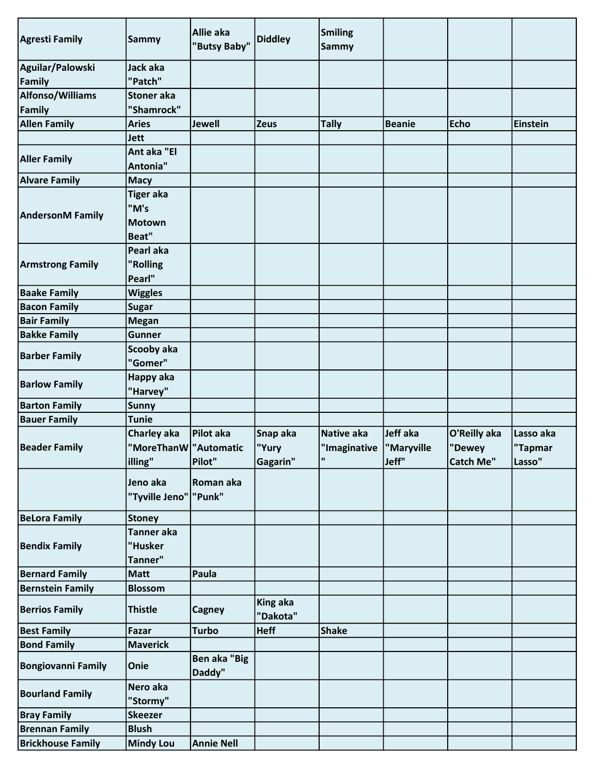| <b>Agresti Family</b>      | Sammy                               | Allie aka<br>"Butsy Baby" | <b>Diddley</b>  | Smiling<br><b>Sammy</b> |               |                  |                 |
|----------------------------|-------------------------------------|---------------------------|-----------------|-------------------------|---------------|------------------|-----------------|
| Aguilar/Palowski<br>Family | Jack aka<br>"Patch"                 |                           |                 |                         |               |                  |                 |
| <b>Alfonso/Williams</b>    | <b>Stoner</b> aka                   |                           |                 |                         |               |                  |                 |
| Family                     | "Shamrock"                          |                           |                 |                         |               |                  |                 |
| <b>Allen Family</b>        | <b>Aries</b>                        | <b>Jewell</b>             | Zeus            | <b>Tally</b>            | <b>Beanie</b> | <b>Echo</b>      | <b>Einstein</b> |
|                            | <b>Jett</b>                         |                           |                 |                         |               |                  |                 |
|                            | Ant aka "El                         |                           |                 |                         |               |                  |                 |
| <b>Aller Family</b>        | Antonia"                            |                           |                 |                         |               |                  |                 |
| <b>Alvare Family</b>       | <b>Macy</b>                         |                           |                 |                         |               |                  |                 |
|                            | <b>Tiger aka</b>                    |                           |                 |                         |               |                  |                 |
|                            | "M's                                |                           |                 |                         |               |                  |                 |
| <b>AndersonM Family</b>    | <b>Motown</b>                       |                           |                 |                         |               |                  |                 |
|                            | Beat"                               |                           |                 |                         |               |                  |                 |
|                            | Pearl aka                           |                           |                 |                         |               |                  |                 |
| <b>Armstrong Family</b>    | "Rolling                            |                           |                 |                         |               |                  |                 |
|                            | Pearl"                              |                           |                 |                         |               |                  |                 |
| <b>Baake Family</b>        | <b>Wiggles</b>                      |                           |                 |                         |               |                  |                 |
| <b>Bacon Family</b>        | <b>Sugar</b>                        |                           |                 |                         |               |                  |                 |
| <b>Bair Family</b>         | <b>Megan</b>                        |                           |                 |                         |               |                  |                 |
| <b>Bakke Family</b>        | <b>Gunner</b>                       |                           |                 |                         |               |                  |                 |
|                            | Scooby aka                          |                           |                 |                         |               |                  |                 |
| <b>Barber Family</b>       | "Gomer"                             |                           |                 |                         |               |                  |                 |
|                            | Happy aka                           |                           |                 |                         |               |                  |                 |
| <b>Barlow Family</b>       | "Harvey"                            |                           |                 |                         |               |                  |                 |
| <b>Barton Family</b>       | <b>Sunny</b>                        |                           |                 |                         |               |                  |                 |
| <b>Bauer Family</b>        | <b>Tunie</b>                        |                           |                 |                         |               |                  |                 |
|                            | Charley aka                         | Pilot aka                 | Snap aka        | <b>Native aka</b>       | Jeff aka      | O'Reilly aka     | Lasso aka       |
| <b>Beader Family</b>       | "MoreThanW   "Automatic             |                           | "Yury           | "Imaginative            | "Maryville    | "Dewey           | "Tapmar         |
|                            | illing"                             | Pilot"                    | Gagarin"        | l u                     | Jeff"         | <b>Catch Me"</b> | Lasso"          |
|                            | Jeno aka<br>"Tyville Jeno"   "Punk" | Roman aka                 |                 |                         |               |                  |                 |
| <b>BeLora Family</b>       | <b>Stoney</b>                       |                           |                 |                         |               |                  |                 |
| <b>Bendix Family</b>       | Tanner aka<br>"Husker<br>Tanner"    |                           |                 |                         |               |                  |                 |
| <b>Bernard Family</b>      | <b>Matt</b>                         | Paula                     |                 |                         |               |                  |                 |
| <b>Bernstein Family</b>    | <b>Blossom</b>                      |                           |                 |                         |               |                  |                 |
|                            |                                     |                           | <b>King aka</b> |                         |               |                  |                 |
| <b>Berrios Family</b>      | <b>Thistle</b>                      | <b>Cagney</b>             | "Dakota"        |                         |               |                  |                 |
| <b>Best Family</b>         | Fazar                               | <b>Turbo</b>              | <b>Heff</b>     | <b>Shake</b>            |               |                  |                 |
| <b>Bond Family</b>         | <b>Maverick</b>                     |                           |                 |                         |               |                  |                 |
| <b>Bongiovanni Family</b>  | Onie                                | Ben aka "Big<br>Daddy"    |                 |                         |               |                  |                 |
| <b>Bourland Family</b>     | Nero aka<br>"Stormy"                |                           |                 |                         |               |                  |                 |
| <b>Bray Family</b>         |                                     |                           |                 |                         |               |                  |                 |
|                            | <b>Skeezer</b>                      |                           |                 |                         |               |                  |                 |
| <b>Brennan Family</b>      | <b>Blush</b>                        |                           |                 |                         |               |                  |                 |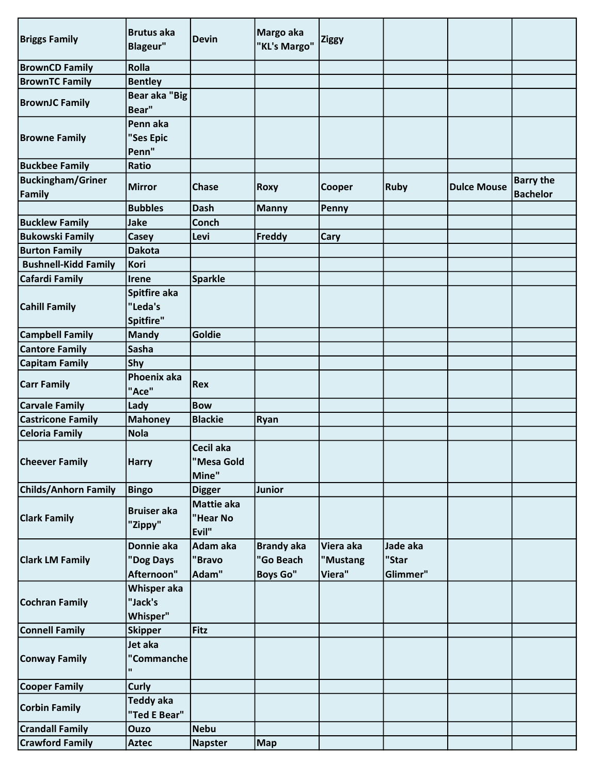| <b>Briggs Family</b>               | <b>Brutus aka</b><br><b>Blageur"</b>  | <b>Devin</b>                     | Margo aka<br>"KL's Margo"                         | <b>Ziggy</b>                    |                               |                    |                                     |
|------------------------------------|---------------------------------------|----------------------------------|---------------------------------------------------|---------------------------------|-------------------------------|--------------------|-------------------------------------|
| <b>BrownCD Family</b>              | <b>Rolla</b>                          |                                  |                                                   |                                 |                               |                    |                                     |
| <b>BrownTC Family</b>              | <b>Bentley</b>                        |                                  |                                                   |                                 |                               |                    |                                     |
| <b>BrownJC Family</b>              | <b>Bear aka "Big</b><br>Bear"         |                                  |                                                   |                                 |                               |                    |                                     |
| <b>Browne Family</b>               | Penn aka<br>"Ses Epic<br>Penn"        |                                  |                                                   |                                 |                               |                    |                                     |
| <b>Buckbee Family</b>              | Ratio                                 |                                  |                                                   |                                 |                               |                    |                                     |
| <b>Buckingham/Griner</b><br>Family | <b>Mirror</b>                         | <b>Chase</b>                     | Roxy                                              | Cooper                          | <b>Ruby</b>                   | <b>Dulce Mouse</b> | <b>Barry the</b><br><b>Bachelor</b> |
|                                    | <b>Bubbles</b>                        | <b>Dash</b>                      | <b>Manny</b>                                      | Penny                           |                               |                    |                                     |
| <b>Bucklew Family</b>              | <b>Jake</b>                           | <b>Conch</b>                     |                                                   |                                 |                               |                    |                                     |
| <b>Bukowski Family</b>             | Casey                                 | Levi                             | Freddy                                            | Cary                            |                               |                    |                                     |
| <b>Burton Family</b>               | <b>Dakota</b>                         |                                  |                                                   |                                 |                               |                    |                                     |
| <b>Bushnell-Kidd Family</b>        | Kori                                  |                                  |                                                   |                                 |                               |                    |                                     |
| <b>Cafardi Family</b>              | <b>Irene</b>                          | <b>Sparkle</b>                   |                                                   |                                 |                               |                    |                                     |
| <b>Cahill Family</b>               | Spitfire aka<br>"Leda's<br>Spitfire"  |                                  |                                                   |                                 |                               |                    |                                     |
| <b>Campbell Family</b>             | <b>Mandy</b>                          | Goldie                           |                                                   |                                 |                               |                    |                                     |
| <b>Cantore Family</b>              | <b>Sasha</b>                          |                                  |                                                   |                                 |                               |                    |                                     |
| <b>Capitam Family</b>              | Shy                                   |                                  |                                                   |                                 |                               |                    |                                     |
| <b>Carr Family</b>                 | Phoenix aka<br>"Ace"                  | Rex                              |                                                   |                                 |                               |                    |                                     |
| <b>Carvale Family</b>              | Lady                                  | <b>Bow</b>                       |                                                   |                                 |                               |                    |                                     |
| <b>Castricone Family</b>           | <b>Mahoney</b>                        | <b>Blackie</b>                   | Ryan                                              |                                 |                               |                    |                                     |
| <b>Celoria Family</b>              | <b>Nola</b>                           |                                  |                                                   |                                 |                               |                    |                                     |
| <b>Cheever Family</b>              | <b>Harry</b>                          | Cecil aka<br>"Mesa Gold<br>Mine" |                                                   |                                 |                               |                    |                                     |
| <b>Childs/Anhorn Family</b>        | <b>Bingo</b>                          | <b>Digger</b>                    | <b>Junior</b>                                     |                                 |                               |                    |                                     |
| <b>Clark Family</b>                | <b>Bruiser aka</b><br>"Zippy"         | Mattie aka<br>"Hear No<br>Evil"  |                                                   |                                 |                               |                    |                                     |
| <b>Clark LM Family</b>             | Donnie aka<br>"Dog Days<br>Afternoon" | Adam aka<br>"Bravo<br>Adam"      | <b>Brandy aka</b><br>"Go Beach<br><b>Boys Go"</b> | Viera aka<br>"Mustang<br>Viera" | Jade aka<br>"Star<br>Glimmer" |                    |                                     |
| <b>Cochran Family</b>              | Whisper aka<br>"Jack's<br>Whisper"    |                                  |                                                   |                                 |                               |                    |                                     |
| <b>Connell Family</b>              | <b>Skipper</b>                        | Fitz                             |                                                   |                                 |                               |                    |                                     |
| <b>Conway Family</b>               | Jet aka<br>"Commanche<br>$\mathbf{u}$ |                                  |                                                   |                                 |                               |                    |                                     |
| <b>Cooper Family</b>               | <b>Curly</b>                          |                                  |                                                   |                                 |                               |                    |                                     |
| <b>Corbin Family</b>               | <b>Teddy aka</b><br>"Ted E Bear"      |                                  |                                                   |                                 |                               |                    |                                     |
| <b>Crandall Family</b>             | <b>Ouzo</b>                           | <b>Nebu</b>                      |                                                   |                                 |                               |                    |                                     |
| <b>Crawford Family</b>             | <b>Aztec</b>                          | <b>Napster</b>                   | <b>Map</b>                                        |                                 |                               |                    |                                     |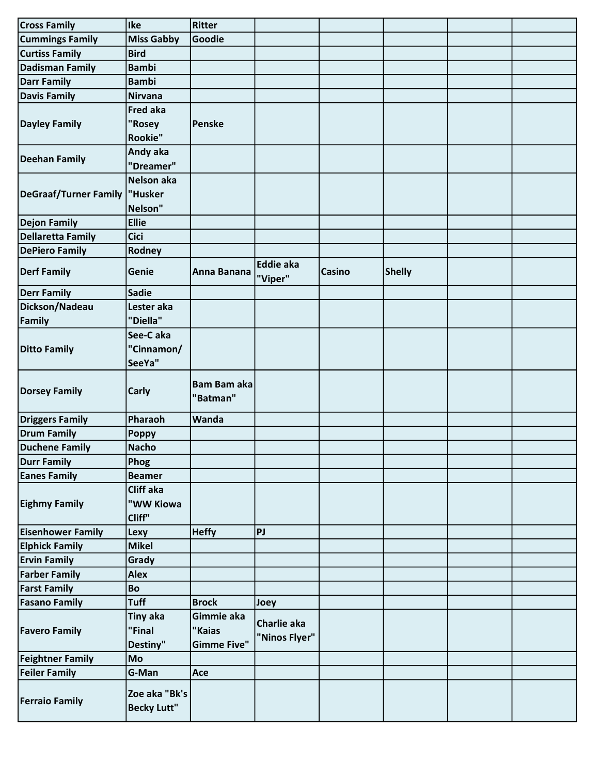| <b>Cross Family</b>          | Ike                                 | <b>Ritter</b>                  |                             |               |               |  |
|------------------------------|-------------------------------------|--------------------------------|-----------------------------|---------------|---------------|--|
| <b>Cummings Family</b>       | <b>Miss Gabby</b>                   | Goodie                         |                             |               |               |  |
| <b>Curtiss Family</b>        | <b>Bird</b>                         |                                |                             |               |               |  |
| <b>Dadisman Family</b>       | <b>Bambi</b>                        |                                |                             |               |               |  |
| <b>Darr Family</b>           | <b>Bambi</b>                        |                                |                             |               |               |  |
| <b>Davis Family</b>          | <b>Nirvana</b>                      |                                |                             |               |               |  |
|                              | <b>Fred aka</b>                     |                                |                             |               |               |  |
| <b>Dayley Family</b>         | "Rosey                              | Penske                         |                             |               |               |  |
|                              | Rookie"                             |                                |                             |               |               |  |
|                              | Andy aka                            |                                |                             |               |               |  |
| <b>Deehan Family</b>         | "Dreamer"                           |                                |                             |               |               |  |
|                              | Nelson aka                          |                                |                             |               |               |  |
| <b>DeGraaf/Turner Family</b> | "Husker                             |                                |                             |               |               |  |
|                              | Nelson"                             |                                |                             |               |               |  |
| <b>Dejon Family</b>          | <b>Ellie</b>                        |                                |                             |               |               |  |
| <b>Dellaretta Family</b>     | <b>Cici</b>                         |                                |                             |               |               |  |
| <b>DePiero Family</b>        | Rodney                              |                                |                             |               |               |  |
| <b>Derf Family</b>           | Genie                               | Anna Banana                    | <b>Eddie aka</b><br>"Viper" | <b>Casino</b> | <b>Shelly</b> |  |
| <b>Derr Family</b>           | <b>Sadie</b>                        |                                |                             |               |               |  |
| Dickson/Nadeau               | Lester aka                          |                                |                             |               |               |  |
| Family                       | "Diella"                            |                                |                             |               |               |  |
|                              | See-Caka                            |                                |                             |               |               |  |
| <b>Ditto Family</b>          | "Cinnamon/                          |                                |                             |               |               |  |
|                              | SeeYa"                              |                                |                             |               |               |  |
| <b>Dorsey Family</b>         | <b>Carly</b>                        | <b>Bam Bam aka</b><br>"Batman" |                             |               |               |  |
|                              |                                     |                                |                             |               |               |  |
| <b>Driggers Family</b>       | Pharaoh                             | Wanda                          |                             |               |               |  |
| <b>Drum Family</b>           | <b>Poppy</b>                        |                                |                             |               |               |  |
| <b>Duchene Family</b>        | <b>Nacho</b>                        |                                |                             |               |               |  |
| <b>Durr Family</b>           | Phog                                |                                |                             |               |               |  |
| <b>Eanes Family</b>          | <b>Beamer</b>                       |                                |                             |               |               |  |
|                              | Cliff aka                           |                                |                             |               |               |  |
| <b>Eighmy Family</b>         | "WW Kiowa                           |                                |                             |               |               |  |
|                              | Cliff"                              |                                |                             |               |               |  |
| <b>Eisenhower Family</b>     | Lexy                                | <b>Heffy</b>                   | PJ                          |               |               |  |
| <b>Elphick Family</b>        | <b>Mikel</b>                        |                                |                             |               |               |  |
| <b>Ervin Family</b>          | Grady                               |                                |                             |               |               |  |
| <b>Farber Family</b>         | <b>Alex</b>                         |                                |                             |               |               |  |
| <b>Farst Family</b>          | Bo                                  |                                |                             |               |               |  |
| <b>Fasano Family</b>         | <b>Tuff</b>                         | <b>Brock</b>                   | Joey                        |               |               |  |
|                              | <b>Tiny aka</b>                     | Gimmie aka                     | Charlie aka                 |               |               |  |
| <b>Favero Family</b>         | "Final                              | "Kaias                         | "Ninos Flyer"               |               |               |  |
|                              | Destiny"                            | <b>Gimme Five"</b>             |                             |               |               |  |
| <b>Feightner Family</b>      | Mo                                  |                                |                             |               |               |  |
| <b>Feiler Family</b>         | G-Man                               | Ace                            |                             |               |               |  |
| <b>Ferraio Family</b>        | Zoe aka "Bk's<br><b>Becky Lutt"</b> |                                |                             |               |               |  |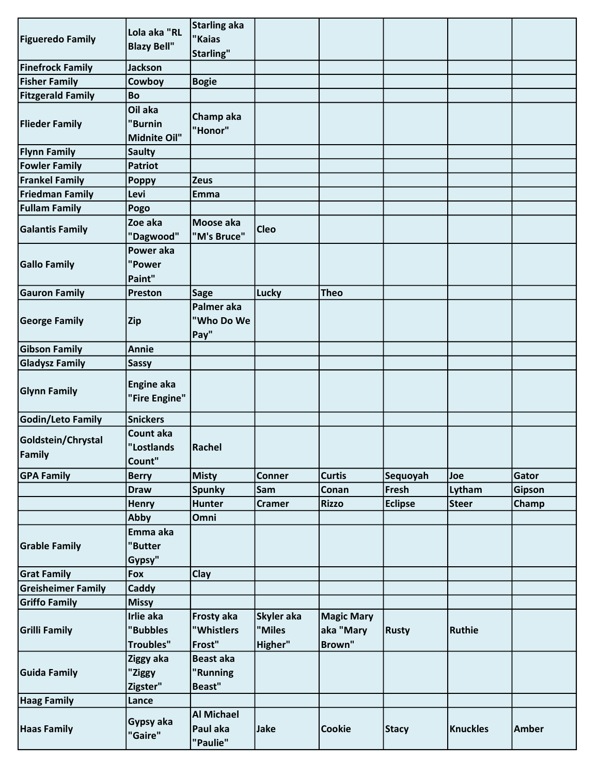|                           | Lola aka "RL       | <b>Starling aka</b> |               |                   |                |                 |               |
|---------------------------|--------------------|---------------------|---------------|-------------------|----------------|-----------------|---------------|
| <b>Figueredo Family</b>   |                    | "Kaias              |               |                   |                |                 |               |
|                           | <b>Blazy Bell"</b> | Starling"           |               |                   |                |                 |               |
| <b>Finefrock Family</b>   | <b>Jackson</b>     |                     |               |                   |                |                 |               |
| <b>Fisher Family</b>      | Cowboy             | <b>Bogie</b>        |               |                   |                |                 |               |
| <b>Fitzgerald Family</b>  | Bo                 |                     |               |                   |                |                 |               |
|                           | Oil aka            | Champ aka           |               |                   |                |                 |               |
| <b>Flieder Family</b>     | "Burnin            | "Honor"             |               |                   |                |                 |               |
|                           | Midnite Oil"       |                     |               |                   |                |                 |               |
| <b>Flynn Family</b>       | <b>Saulty</b>      |                     |               |                   |                |                 |               |
| <b>Fowler Family</b>      | <b>Patriot</b>     |                     |               |                   |                |                 |               |
| <b>Frankel Family</b>     | <b>Poppy</b>       | <b>Zeus</b>         |               |                   |                |                 |               |
| <b>Friedman Family</b>    | Levi               | Emma                |               |                   |                |                 |               |
| <b>Fullam Family</b>      | Pogo               |                     |               |                   |                |                 |               |
|                           | Zoe aka            | Moose aka           |               |                   |                |                 |               |
| <b>Galantis Family</b>    | "Dagwood"          | "M's Bruce"         | <b>Cleo</b>   |                   |                |                 |               |
|                           | Power aka          |                     |               |                   |                |                 |               |
| <b>Gallo Family</b>       | "Power             |                     |               |                   |                |                 |               |
|                           | Paint"             |                     |               |                   |                |                 |               |
| <b>Gauron Family</b>      | <b>Preston</b>     | Sage                | Lucky         | Theo              |                |                 |               |
|                           |                    | Palmer aka          |               |                   |                |                 |               |
| <b>George Family</b>      | <b>Zip</b>         | "Who Do We          |               |                   |                |                 |               |
|                           |                    | Pay"                |               |                   |                |                 |               |
| <b>Gibson Family</b>      | <b>Annie</b>       |                     |               |                   |                |                 |               |
| <b>Gladysz Family</b>     | <b>Sassy</b>       |                     |               |                   |                |                 |               |
|                           |                    |                     |               |                   |                |                 |               |
| <b>Glynn Family</b>       | Engine aka         |                     |               |                   |                |                 |               |
|                           | "Fire Engine"      |                     |               |                   |                |                 |               |
| Godin/Leto Family         | <b>Snickers</b>    |                     |               |                   |                |                 |               |
| Goldstein/Chrystal        | Count aka          |                     |               |                   |                |                 |               |
|                           | "Lostlands         | Rachel              |               |                   |                |                 |               |
| Family                    | Count"             |                     |               |                   |                |                 |               |
| <b>GPA Family</b>         | <b>Berry</b>       | <b>Misty</b>        | <b>Conner</b> | <b>Curtis</b>     | Sequoyah       | Joe             | Gator         |
|                           | <b>Draw</b>        | Spunky              | <b>Sam</b>    | Conan             | Fresh          | Lytham          | <b>Gipson</b> |
|                           | <b>Henry</b>       | Hunter              | <b>Cramer</b> | <b>Rizzo</b>      | <b>Eclipse</b> | <b>Steer</b>    | Champ         |
|                           | Abby               | Omni                |               |                   |                |                 |               |
|                           | Emma aka           |                     |               |                   |                |                 |               |
| <b>Grable Family</b>      | "Butter            |                     |               |                   |                |                 |               |
|                           | Gypsy"             |                     |               |                   |                |                 |               |
| <b>Grat Family</b>        | Fox                | <b>Clay</b>         |               |                   |                |                 |               |
| <b>Greisheimer Family</b> | Caddy              |                     |               |                   |                |                 |               |
| <b>Griffo Family</b>      | <b>Missy</b>       |                     |               |                   |                |                 |               |
|                           | Irlie aka          | Frosty aka          | Skyler aka    | <b>Magic Mary</b> |                |                 |               |
| <b>Grilli Family</b>      | "Bubbles           | "Whistlers          | "Miles        | aka "Mary         | <b>Rusty</b>   | <b>Ruthie</b>   |               |
|                           | <b>Troubles"</b>   | Frost"              | Higher"       | Brown"            |                |                 |               |
|                           | Ziggy aka          | <b>Beast aka</b>    |               |                   |                |                 |               |
| <b>Guida Family</b>       | "Ziggy             | "Running            |               |                   |                |                 |               |
|                           | Zigster"           | Beast"              |               |                   |                |                 |               |
| <b>Haag Family</b>        | Lance              |                     |               |                   |                |                 |               |
|                           | Gypsy aka          | <b>Al Michael</b>   |               |                   |                |                 |               |
| <b>Haas Family</b>        | "Gaire"            | Paul aka            | Jake          | <b>Cookie</b>     | <b>Stacy</b>   | <b>Knuckles</b> | Amber         |
|                           |                    | "Paulie"            |               |                   |                |                 |               |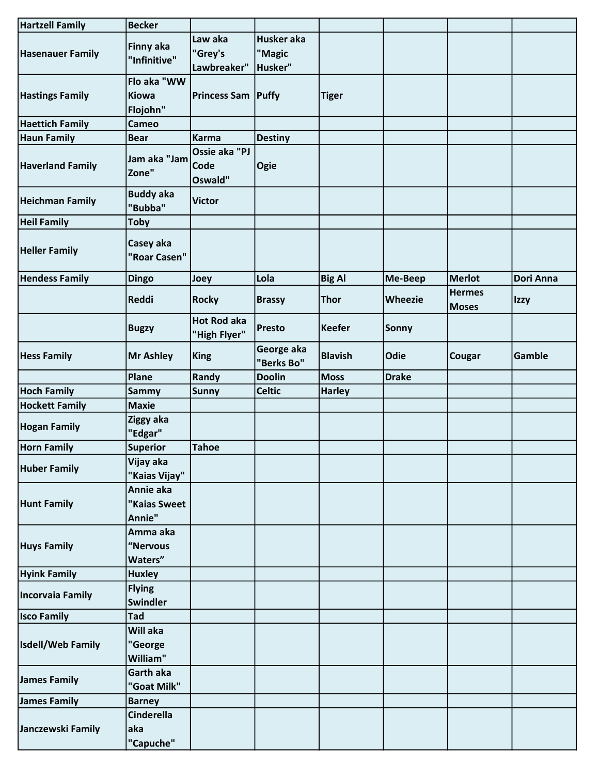| <b>Hartzell Family</b>  | <b>Becker</b>                           |                                    |                                 |                |                |                               |             |
|-------------------------|-----------------------------------------|------------------------------------|---------------------------------|----------------|----------------|-------------------------------|-------------|
| <b>Hasenauer Family</b> | Finny aka<br>"Infinitive"               | Law aka<br>"Grey's<br>Lawbreaker"  | Husker aka<br>"Magic<br>Husker" |                |                |                               |             |
| <b>Hastings Family</b>  | Flo aka "WW<br><b>Kiowa</b><br>Flojohn" | <b>Princess Sam Puffy</b>          |                                 | <b>Tiger</b>   |                |                               |             |
| <b>Haettich Family</b>  | <b>Cameo</b>                            |                                    |                                 |                |                |                               |             |
| <b>Haun Family</b>      | <b>Bear</b>                             | Karma                              | <b>Destiny</b>                  |                |                |                               |             |
| <b>Haverland Family</b> | Jam aka "Jam<br>Zone"                   | Ossie aka "PJ<br>Code<br>Oswald"   | Ogie                            |                |                |                               |             |
| <b>Heichman Family</b>  | <b>Buddy aka</b><br>"Bubba"             | <b>Victor</b>                      |                                 |                |                |                               |             |
| <b>Heil Family</b>      | <b>Toby</b>                             |                                    |                                 |                |                |                               |             |
| <b>Heller Family</b>    | Casey aka<br>"Roar Casen"               |                                    |                                 |                |                |                               |             |
| <b>Hendess Family</b>   | <b>Dingo</b>                            | Joey                               | Lola                            | <b>Big Al</b>  | Me-Beep        | <b>Merlot</b>                 | Dori Anna   |
|                         | <b>Reddi</b>                            | <b>Rocky</b>                       | <b>Brassy</b>                   | Thor           | <b>Wheezie</b> | <b>Hermes</b><br><b>Moses</b> | <b>Izzy</b> |
|                         | <b>Bugzy</b>                            | <b>Hot Rod aka</b><br>"High Flyer" | <b>Presto</b>                   | Keefer         | Sonny          |                               |             |
| <b>Hess Family</b>      | <b>Mr Ashley</b>                        | King                               | George aka<br>"Berks Bo"        | <b>Blavish</b> | Odie           | Cougar                        | Gamble      |
|                         | Plane                                   | Randy                              | <b>Doolin</b>                   | <b>Moss</b>    | <b>Drake</b>   |                               |             |
| <b>Hoch Family</b>      | <b>Sammy</b>                            | <b>Sunny</b>                       | <b>Celtic</b>                   | <b>Harley</b>  |                |                               |             |
| <b>Hockett Family</b>   | <b>Maxie</b>                            |                                    |                                 |                |                |                               |             |
| <b>Hogan Family</b>     | Ziggy aka<br>"Edgar"                    |                                    |                                 |                |                |                               |             |
| <b>Horn Family</b>      | <b>Superior</b>                         | <b>Tahoe</b>                       |                                 |                |                |                               |             |
| <b>Huber Family</b>     | Vijay aka<br>"Kaias Vijay"              |                                    |                                 |                |                |                               |             |
| <b>Hunt Family</b>      | Annie aka<br>"Kaias Sweet<br>Annie"     |                                    |                                 |                |                |                               |             |
| <b>Huys Family</b>      | Amma aka<br>"Nervous<br>Waters"         |                                    |                                 |                |                |                               |             |
| <b>Hyink Family</b>     | <b>Huxley</b>                           |                                    |                                 |                |                |                               |             |
| Incorvaia Family        | <b>Flying</b><br><b>Swindler</b>        |                                    |                                 |                |                |                               |             |
| <b>Isco Family</b>      | Tad                                     |                                    |                                 |                |                |                               |             |
| Isdell/Web Family       | Will aka<br>"George<br>William"         |                                    |                                 |                |                |                               |             |
| James Family            | Garth aka<br>"Goat Milk"                |                                    |                                 |                |                |                               |             |
| James Family            | <b>Barney</b>                           |                                    |                                 |                |                |                               |             |
| Janczewski Family       | <b>Cinderella</b><br>aka                |                                    |                                 |                |                |                               |             |
|                         | "Capuche"                               |                                    |                                 |                |                |                               |             |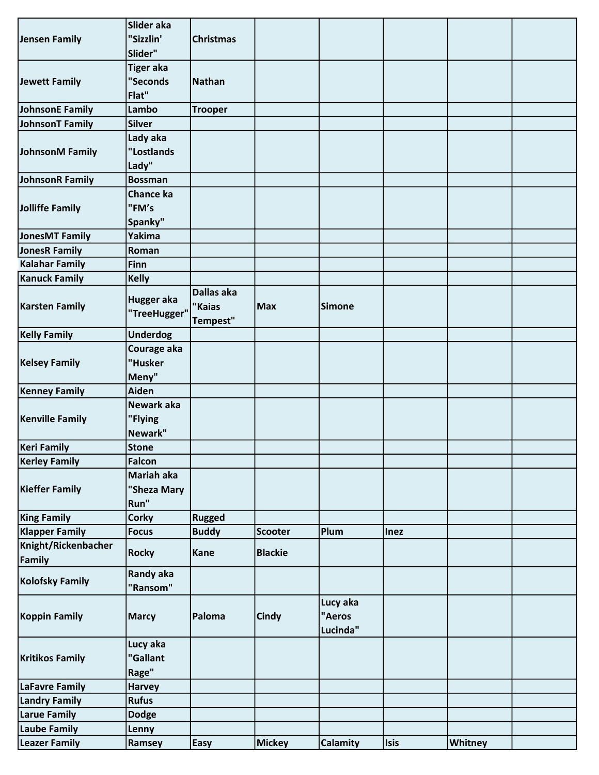|                        | Slider aka             |                  |                |                 |             |         |  |
|------------------------|------------------------|------------------|----------------|-----------------|-------------|---------|--|
| Jensen Family          | "Sizzlin'              | <b>Christmas</b> |                |                 |             |         |  |
|                        | Slider"                |                  |                |                 |             |         |  |
|                        | <b>Tiger aka</b>       |                  |                |                 |             |         |  |
| Jewett Family          | "Seconds               | Nathan           |                |                 |             |         |  |
|                        | Flat"                  |                  |                |                 |             |         |  |
| JohnsonE Family        | Lambo                  | <b>Trooper</b>   |                |                 |             |         |  |
| JohnsonT Family        | <b>Silver</b>          |                  |                |                 |             |         |  |
|                        |                        |                  |                |                 |             |         |  |
|                        | Lady aka<br>"Lostlands |                  |                |                 |             |         |  |
| JohnsonM Family        |                        |                  |                |                 |             |         |  |
|                        | Lady"                  |                  |                |                 |             |         |  |
| JohnsonR Family        | <b>Bossman</b>         |                  |                |                 |             |         |  |
|                        | Chance ka              |                  |                |                 |             |         |  |
| Jolliffe Family        | "FM's                  |                  |                |                 |             |         |  |
|                        | Spanky"                |                  |                |                 |             |         |  |
| JonesMT Family         | Yakima                 |                  |                |                 |             |         |  |
| JonesR Family          | Roman                  |                  |                |                 |             |         |  |
| <b>Kalahar Family</b>  | Finn                   |                  |                |                 |             |         |  |
| <b>Kanuck Family</b>   | <b>Kelly</b>           |                  |                |                 |             |         |  |
|                        | Hugger aka             | Dallas aka       |                |                 |             |         |  |
| <b>Karsten Family</b>  | "TreeHugger"           | "Kaias           | <b>Max</b>     | <b>Simone</b>   |             |         |  |
|                        |                        | Tempest"         |                |                 |             |         |  |
| <b>Kelly Family</b>    | <b>Underdog</b>        |                  |                |                 |             |         |  |
|                        | Courage aka            |                  |                |                 |             |         |  |
| <b>Kelsey Family</b>   | "Husker                |                  |                |                 |             |         |  |
|                        | Meny"                  |                  |                |                 |             |         |  |
| <b>Kenney Family</b>   | Aiden                  |                  |                |                 |             |         |  |
|                        | Newark aka             |                  |                |                 |             |         |  |
| <b>Kenville Family</b> | "Flying                |                  |                |                 |             |         |  |
|                        | Newark"                |                  |                |                 |             |         |  |
| <b>Keri Family</b>     | <b>Stone</b>           |                  |                |                 |             |         |  |
| <b>Kerley Family</b>   | Falcon                 |                  |                |                 |             |         |  |
|                        | Mariah aka             |                  |                |                 |             |         |  |
| <b>Kieffer Family</b>  | "Sheza Mary            |                  |                |                 |             |         |  |
|                        | Run"                   |                  |                |                 |             |         |  |
| <b>King Family</b>     | <b>Corky</b>           | <b>Rugged</b>    |                |                 |             |         |  |
| <b>Klapper Family</b>  | <b>Focus</b>           | <b>Buddy</b>     | <b>Scooter</b> | Plum            | <b>Inez</b> |         |  |
| Knight/Rickenbacher    |                        |                  |                |                 |             |         |  |
| Family                 | <b>Rocky</b>           | Kane             | <b>Blackie</b> |                 |             |         |  |
|                        | <b>Randy aka</b>       |                  |                |                 |             |         |  |
| <b>Kolofsky Family</b> | "Ransom"               |                  |                |                 |             |         |  |
|                        |                        |                  |                | Lucy aka        |             |         |  |
| <b>Koppin Family</b>   | <b>Marcy</b>           | Paloma           | Cindy          | "Aeros          |             |         |  |
|                        |                        |                  |                | Lucinda"        |             |         |  |
|                        |                        |                  |                |                 |             |         |  |
|                        | Lucy aka               |                  |                |                 |             |         |  |
| <b>Kritikos Family</b> | "Gallant               |                  |                |                 |             |         |  |
|                        | Rage"                  |                  |                |                 |             |         |  |
| LaFavre Family         | <b>Harvey</b>          |                  |                |                 |             |         |  |
| <b>Landry Family</b>   | <b>Rufus</b>           |                  |                |                 |             |         |  |
| <b>Larue Family</b>    | <b>Dodge</b>           |                  |                |                 |             |         |  |
| Laube Family           | Lenny                  |                  |                |                 |             |         |  |
| <b>Leazer Family</b>   | Ramsey                 | Easy             | <b>Mickey</b>  | <b>Calamity</b> | <b>Isis</b> | Whitney |  |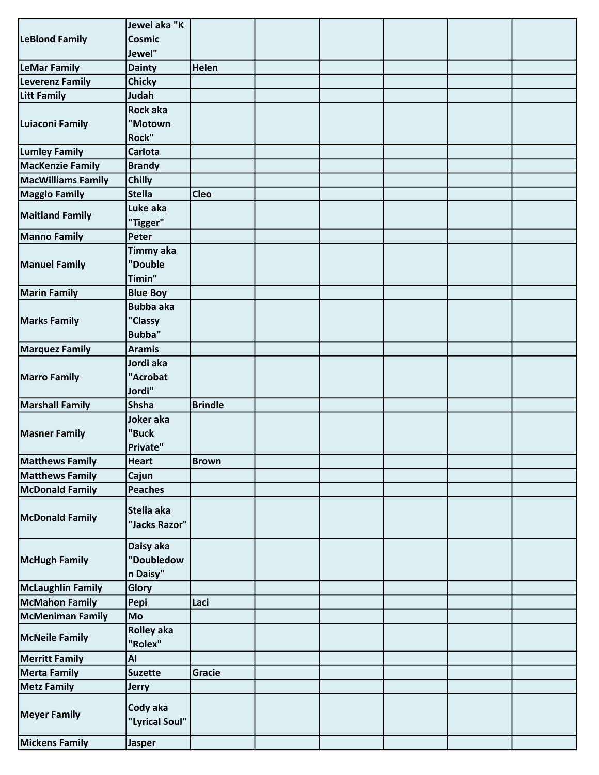| <b>LeBlond Family</b><br><b>Cosmic</b><br>Jewel"<br>Helen<br><b>LeMar Family</b><br><b>Dainty</b><br><b>Leverenz Family</b><br><b>Chicky</b><br><b>Litt Family</b><br>Judah<br>Rock aka<br>"Motown<br>Luiaconi Family<br>Rock"<br><b>Lumley Family</b><br><b>Carlota</b><br><b>MacKenzie Family</b><br><b>Brandy</b><br><b>MacWilliams Family</b><br>Chilly<br><b>Cleo</b><br><b>Maggio Family</b><br><b>Stella</b><br>Luke aka<br><b>Maitland Family</b><br>"Tigger"<br><b>Manno Family</b><br>Peter<br><b>Timmy aka</b><br><b>Manuel Family</b><br>"Double<br>Timin"<br><b>Marin Family</b><br><b>Blue Boy</b><br><b>Bubba aka</b><br>"Classy<br><b>Marks Family</b><br><b>Bubba"</b><br><b>Marquez Family</b><br>Aramis<br>Jordi aka<br>"Acrobat<br><b>Marro Family</b><br>Jordi"<br><b>Brindle</b><br><b>Shsha</b><br><b>Marshall Family</b><br>Joker aka<br>"Buck<br><b>Masner Family</b><br>Private"<br><b>Matthews Family</b><br><b>Heart</b><br><b>Brown</b><br><b>Matthews Family</b><br>Cajun<br>McDonald Family<br><b>Peaches</b><br>Stella aka<br><b>McDonald Family</b><br>"Jacks Razor"<br>Daisy aka<br>"Doubledow<br>McHugh Family<br>n Daisy"<br><b>McLaughlin Family</b><br>Glory<br><b>McMahon Family</b><br>Pepi<br>Laci<br><b>McMeniman Family</b><br>Mo<br><b>Rolley aka</b><br>"Rolex"<br><b>Merritt Family</b><br>Al<br>Gracie<br><b>Merta Family</b><br><b>Suzette</b><br><b>Metz Family</b><br><b>Jerry</b><br>Cody aka<br><b>Meyer Family</b><br>"Lyrical Soul" |                       | Jewel aka "K |  |  |  |
|-------------------------------------------------------------------------------------------------------------------------------------------------------------------------------------------------------------------------------------------------------------------------------------------------------------------------------------------------------------------------------------------------------------------------------------------------------------------------------------------------------------------------------------------------------------------------------------------------------------------------------------------------------------------------------------------------------------------------------------------------------------------------------------------------------------------------------------------------------------------------------------------------------------------------------------------------------------------------------------------------------------------------------------------------------------------------------------------------------------------------------------------------------------------------------------------------------------------------------------------------------------------------------------------------------------------------------------------------------------------------------------------------------------------------------------------------------------------------------------------|-----------------------|--------------|--|--|--|
|                                                                                                                                                                                                                                                                                                                                                                                                                                                                                                                                                                                                                                                                                                                                                                                                                                                                                                                                                                                                                                                                                                                                                                                                                                                                                                                                                                                                                                                                                           |                       |              |  |  |  |
|                                                                                                                                                                                                                                                                                                                                                                                                                                                                                                                                                                                                                                                                                                                                                                                                                                                                                                                                                                                                                                                                                                                                                                                                                                                                                                                                                                                                                                                                                           |                       |              |  |  |  |
|                                                                                                                                                                                                                                                                                                                                                                                                                                                                                                                                                                                                                                                                                                                                                                                                                                                                                                                                                                                                                                                                                                                                                                                                                                                                                                                                                                                                                                                                                           |                       |              |  |  |  |
|                                                                                                                                                                                                                                                                                                                                                                                                                                                                                                                                                                                                                                                                                                                                                                                                                                                                                                                                                                                                                                                                                                                                                                                                                                                                                                                                                                                                                                                                                           |                       |              |  |  |  |
|                                                                                                                                                                                                                                                                                                                                                                                                                                                                                                                                                                                                                                                                                                                                                                                                                                                                                                                                                                                                                                                                                                                                                                                                                                                                                                                                                                                                                                                                                           |                       |              |  |  |  |
|                                                                                                                                                                                                                                                                                                                                                                                                                                                                                                                                                                                                                                                                                                                                                                                                                                                                                                                                                                                                                                                                                                                                                                                                                                                                                                                                                                                                                                                                                           |                       |              |  |  |  |
|                                                                                                                                                                                                                                                                                                                                                                                                                                                                                                                                                                                                                                                                                                                                                                                                                                                                                                                                                                                                                                                                                                                                                                                                                                                                                                                                                                                                                                                                                           |                       |              |  |  |  |
|                                                                                                                                                                                                                                                                                                                                                                                                                                                                                                                                                                                                                                                                                                                                                                                                                                                                                                                                                                                                                                                                                                                                                                                                                                                                                                                                                                                                                                                                                           |                       |              |  |  |  |
|                                                                                                                                                                                                                                                                                                                                                                                                                                                                                                                                                                                                                                                                                                                                                                                                                                                                                                                                                                                                                                                                                                                                                                                                                                                                                                                                                                                                                                                                                           |                       |              |  |  |  |
|                                                                                                                                                                                                                                                                                                                                                                                                                                                                                                                                                                                                                                                                                                                                                                                                                                                                                                                                                                                                                                                                                                                                                                                                                                                                                                                                                                                                                                                                                           |                       |              |  |  |  |
|                                                                                                                                                                                                                                                                                                                                                                                                                                                                                                                                                                                                                                                                                                                                                                                                                                                                                                                                                                                                                                                                                                                                                                                                                                                                                                                                                                                                                                                                                           |                       |              |  |  |  |
|                                                                                                                                                                                                                                                                                                                                                                                                                                                                                                                                                                                                                                                                                                                                                                                                                                                                                                                                                                                                                                                                                                                                                                                                                                                                                                                                                                                                                                                                                           |                       |              |  |  |  |
|                                                                                                                                                                                                                                                                                                                                                                                                                                                                                                                                                                                                                                                                                                                                                                                                                                                                                                                                                                                                                                                                                                                                                                                                                                                                                                                                                                                                                                                                                           |                       |              |  |  |  |
|                                                                                                                                                                                                                                                                                                                                                                                                                                                                                                                                                                                                                                                                                                                                                                                                                                                                                                                                                                                                                                                                                                                                                                                                                                                                                                                                                                                                                                                                                           |                       |              |  |  |  |
|                                                                                                                                                                                                                                                                                                                                                                                                                                                                                                                                                                                                                                                                                                                                                                                                                                                                                                                                                                                                                                                                                                                                                                                                                                                                                                                                                                                                                                                                                           |                       |              |  |  |  |
|                                                                                                                                                                                                                                                                                                                                                                                                                                                                                                                                                                                                                                                                                                                                                                                                                                                                                                                                                                                                                                                                                                                                                                                                                                                                                                                                                                                                                                                                                           |                       |              |  |  |  |
|                                                                                                                                                                                                                                                                                                                                                                                                                                                                                                                                                                                                                                                                                                                                                                                                                                                                                                                                                                                                                                                                                                                                                                                                                                                                                                                                                                                                                                                                                           |                       |              |  |  |  |
|                                                                                                                                                                                                                                                                                                                                                                                                                                                                                                                                                                                                                                                                                                                                                                                                                                                                                                                                                                                                                                                                                                                                                                                                                                                                                                                                                                                                                                                                                           |                       |              |  |  |  |
|                                                                                                                                                                                                                                                                                                                                                                                                                                                                                                                                                                                                                                                                                                                                                                                                                                                                                                                                                                                                                                                                                                                                                                                                                                                                                                                                                                                                                                                                                           |                       |              |  |  |  |
|                                                                                                                                                                                                                                                                                                                                                                                                                                                                                                                                                                                                                                                                                                                                                                                                                                                                                                                                                                                                                                                                                                                                                                                                                                                                                                                                                                                                                                                                                           |                       |              |  |  |  |
|                                                                                                                                                                                                                                                                                                                                                                                                                                                                                                                                                                                                                                                                                                                                                                                                                                                                                                                                                                                                                                                                                                                                                                                                                                                                                                                                                                                                                                                                                           |                       |              |  |  |  |
|                                                                                                                                                                                                                                                                                                                                                                                                                                                                                                                                                                                                                                                                                                                                                                                                                                                                                                                                                                                                                                                                                                                                                                                                                                                                                                                                                                                                                                                                                           |                       |              |  |  |  |
|                                                                                                                                                                                                                                                                                                                                                                                                                                                                                                                                                                                                                                                                                                                                                                                                                                                                                                                                                                                                                                                                                                                                                                                                                                                                                                                                                                                                                                                                                           |                       |              |  |  |  |
|                                                                                                                                                                                                                                                                                                                                                                                                                                                                                                                                                                                                                                                                                                                                                                                                                                                                                                                                                                                                                                                                                                                                                                                                                                                                                                                                                                                                                                                                                           |                       |              |  |  |  |
|                                                                                                                                                                                                                                                                                                                                                                                                                                                                                                                                                                                                                                                                                                                                                                                                                                                                                                                                                                                                                                                                                                                                                                                                                                                                                                                                                                                                                                                                                           |                       |              |  |  |  |
|                                                                                                                                                                                                                                                                                                                                                                                                                                                                                                                                                                                                                                                                                                                                                                                                                                                                                                                                                                                                                                                                                                                                                                                                                                                                                                                                                                                                                                                                                           |                       |              |  |  |  |
|                                                                                                                                                                                                                                                                                                                                                                                                                                                                                                                                                                                                                                                                                                                                                                                                                                                                                                                                                                                                                                                                                                                                                                                                                                                                                                                                                                                                                                                                                           |                       |              |  |  |  |
|                                                                                                                                                                                                                                                                                                                                                                                                                                                                                                                                                                                                                                                                                                                                                                                                                                                                                                                                                                                                                                                                                                                                                                                                                                                                                                                                                                                                                                                                                           |                       |              |  |  |  |
|                                                                                                                                                                                                                                                                                                                                                                                                                                                                                                                                                                                                                                                                                                                                                                                                                                                                                                                                                                                                                                                                                                                                                                                                                                                                                                                                                                                                                                                                                           |                       |              |  |  |  |
|                                                                                                                                                                                                                                                                                                                                                                                                                                                                                                                                                                                                                                                                                                                                                                                                                                                                                                                                                                                                                                                                                                                                                                                                                                                                                                                                                                                                                                                                                           |                       |              |  |  |  |
|                                                                                                                                                                                                                                                                                                                                                                                                                                                                                                                                                                                                                                                                                                                                                                                                                                                                                                                                                                                                                                                                                                                                                                                                                                                                                                                                                                                                                                                                                           |                       |              |  |  |  |
|                                                                                                                                                                                                                                                                                                                                                                                                                                                                                                                                                                                                                                                                                                                                                                                                                                                                                                                                                                                                                                                                                                                                                                                                                                                                                                                                                                                                                                                                                           |                       |              |  |  |  |
|                                                                                                                                                                                                                                                                                                                                                                                                                                                                                                                                                                                                                                                                                                                                                                                                                                                                                                                                                                                                                                                                                                                                                                                                                                                                                                                                                                                                                                                                                           |                       |              |  |  |  |
|                                                                                                                                                                                                                                                                                                                                                                                                                                                                                                                                                                                                                                                                                                                                                                                                                                                                                                                                                                                                                                                                                                                                                                                                                                                                                                                                                                                                                                                                                           |                       |              |  |  |  |
|                                                                                                                                                                                                                                                                                                                                                                                                                                                                                                                                                                                                                                                                                                                                                                                                                                                                                                                                                                                                                                                                                                                                                                                                                                                                                                                                                                                                                                                                                           |                       |              |  |  |  |
|                                                                                                                                                                                                                                                                                                                                                                                                                                                                                                                                                                                                                                                                                                                                                                                                                                                                                                                                                                                                                                                                                                                                                                                                                                                                                                                                                                                                                                                                                           |                       |              |  |  |  |
|                                                                                                                                                                                                                                                                                                                                                                                                                                                                                                                                                                                                                                                                                                                                                                                                                                                                                                                                                                                                                                                                                                                                                                                                                                                                                                                                                                                                                                                                                           |                       |              |  |  |  |
|                                                                                                                                                                                                                                                                                                                                                                                                                                                                                                                                                                                                                                                                                                                                                                                                                                                                                                                                                                                                                                                                                                                                                                                                                                                                                                                                                                                                                                                                                           |                       |              |  |  |  |
|                                                                                                                                                                                                                                                                                                                                                                                                                                                                                                                                                                                                                                                                                                                                                                                                                                                                                                                                                                                                                                                                                                                                                                                                                                                                                                                                                                                                                                                                                           |                       |              |  |  |  |
|                                                                                                                                                                                                                                                                                                                                                                                                                                                                                                                                                                                                                                                                                                                                                                                                                                                                                                                                                                                                                                                                                                                                                                                                                                                                                                                                                                                                                                                                                           |                       |              |  |  |  |
|                                                                                                                                                                                                                                                                                                                                                                                                                                                                                                                                                                                                                                                                                                                                                                                                                                                                                                                                                                                                                                                                                                                                                                                                                                                                                                                                                                                                                                                                                           |                       |              |  |  |  |
|                                                                                                                                                                                                                                                                                                                                                                                                                                                                                                                                                                                                                                                                                                                                                                                                                                                                                                                                                                                                                                                                                                                                                                                                                                                                                                                                                                                                                                                                                           |                       |              |  |  |  |
|                                                                                                                                                                                                                                                                                                                                                                                                                                                                                                                                                                                                                                                                                                                                                                                                                                                                                                                                                                                                                                                                                                                                                                                                                                                                                                                                                                                                                                                                                           |                       |              |  |  |  |
|                                                                                                                                                                                                                                                                                                                                                                                                                                                                                                                                                                                                                                                                                                                                                                                                                                                                                                                                                                                                                                                                                                                                                                                                                                                                                                                                                                                                                                                                                           | <b>McNeile Family</b> |              |  |  |  |
|                                                                                                                                                                                                                                                                                                                                                                                                                                                                                                                                                                                                                                                                                                                                                                                                                                                                                                                                                                                                                                                                                                                                                                                                                                                                                                                                                                                                                                                                                           |                       |              |  |  |  |
|                                                                                                                                                                                                                                                                                                                                                                                                                                                                                                                                                                                                                                                                                                                                                                                                                                                                                                                                                                                                                                                                                                                                                                                                                                                                                                                                                                                                                                                                                           |                       |              |  |  |  |
|                                                                                                                                                                                                                                                                                                                                                                                                                                                                                                                                                                                                                                                                                                                                                                                                                                                                                                                                                                                                                                                                                                                                                                                                                                                                                                                                                                                                                                                                                           |                       |              |  |  |  |
|                                                                                                                                                                                                                                                                                                                                                                                                                                                                                                                                                                                                                                                                                                                                                                                                                                                                                                                                                                                                                                                                                                                                                                                                                                                                                                                                                                                                                                                                                           |                       |              |  |  |  |
|                                                                                                                                                                                                                                                                                                                                                                                                                                                                                                                                                                                                                                                                                                                                                                                                                                                                                                                                                                                                                                                                                                                                                                                                                                                                                                                                                                                                                                                                                           |                       |              |  |  |  |
|                                                                                                                                                                                                                                                                                                                                                                                                                                                                                                                                                                                                                                                                                                                                                                                                                                                                                                                                                                                                                                                                                                                                                                                                                                                                                                                                                                                                                                                                                           |                       |              |  |  |  |
|                                                                                                                                                                                                                                                                                                                                                                                                                                                                                                                                                                                                                                                                                                                                                                                                                                                                                                                                                                                                                                                                                                                                                                                                                                                                                                                                                                                                                                                                                           | <b>Mickens Family</b> | Jasper       |  |  |  |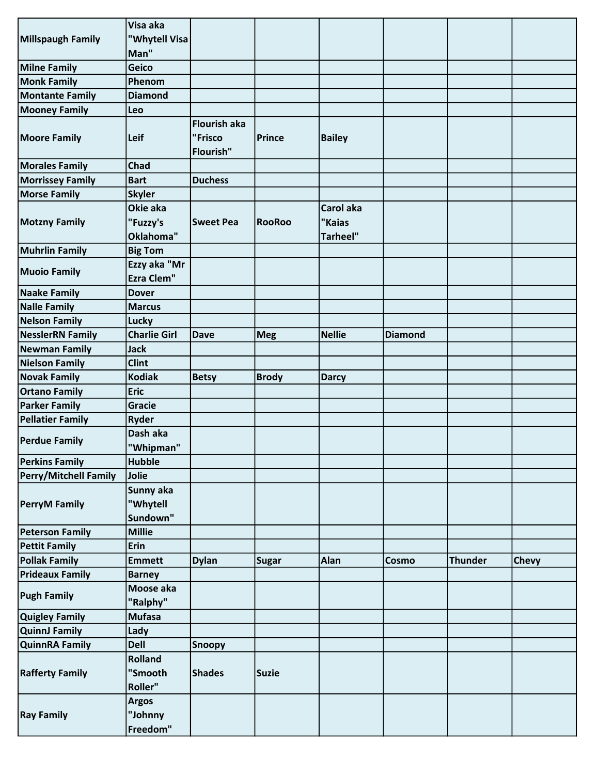|                              | Visa aka            |                     |               |                 |                |                |              |
|------------------------------|---------------------|---------------------|---------------|-----------------|----------------|----------------|--------------|
| Millspaugh Family            | "Whytell Visa       |                     |               |                 |                |                |              |
|                              | Man"                |                     |               |                 |                |                |              |
| <b>Milne Family</b>          | Geico               |                     |               |                 |                |                |              |
| <b>Monk Family</b>           | Phenom              |                     |               |                 |                |                |              |
| <b>Montante Family</b>       | <b>Diamond</b>      |                     |               |                 |                |                |              |
| <b>Mooney Family</b>         | Leo                 |                     |               |                 |                |                |              |
|                              |                     | <b>Flourish aka</b> |               |                 |                |                |              |
| <b>Moore Family</b>          | Leif                | "Frisco             | <b>Prince</b> | <b>Bailey</b>   |                |                |              |
|                              |                     | Flourish"           |               |                 |                |                |              |
| <b>Morales Family</b>        | Chad                |                     |               |                 |                |                |              |
| <b>Morrissey Family</b>      | <b>Bart</b>         | <b>Duchess</b>      |               |                 |                |                |              |
| <b>Morse Family</b>          | <b>Skyler</b>       |                     |               |                 |                |                |              |
|                              | Okie aka            |                     |               | Carol aka       |                |                |              |
|                              |                     |                     |               |                 |                |                |              |
| <b>Motzny Family</b>         | "Fuzzy's            | <b>Sweet Pea</b>    | <b>RooRoo</b> | "Kaias          |                |                |              |
|                              | Oklahoma"           |                     |               | <b>Tarheel"</b> |                |                |              |
| <b>Muhrlin Family</b>        | <b>Big Tom</b>      |                     |               |                 |                |                |              |
| <b>Muoio Family</b>          | Ezzy aka "Mr        |                     |               |                 |                |                |              |
|                              | <b>Ezra Clem"</b>   |                     |               |                 |                |                |              |
| <b>Naake Family</b>          | <b>Dover</b>        |                     |               |                 |                |                |              |
| <b>Nalle Family</b>          | <b>Marcus</b>       |                     |               |                 |                |                |              |
| <b>Nelson Family</b>         | Lucky               |                     |               |                 |                |                |              |
| <b>NesslerRN Family</b>      | <b>Charlie Girl</b> | <b>Dave</b>         | <b>Meg</b>    | <b>Nellie</b>   | <b>Diamond</b> |                |              |
| Newman Family                | <b>Jack</b>         |                     |               |                 |                |                |              |
| Nielson Family               | <b>Clint</b>        |                     |               |                 |                |                |              |
| <b>Novak Family</b>          | <b>Kodiak</b>       | <b>Betsy</b>        | <b>Brody</b>  | <b>Darcy</b>    |                |                |              |
| <b>Ortano Family</b>         | <b>Eric</b>         |                     |               |                 |                |                |              |
| <b>Parker Family</b>         | Gracie              |                     |               |                 |                |                |              |
| <b>Pellatier Family</b>      | <b>Ryder</b>        |                     |               |                 |                |                |              |
|                              | Dash aka            |                     |               |                 |                |                |              |
| <b>Perdue Family</b>         | "Whipman"           |                     |               |                 |                |                |              |
| <b>Perkins Family</b>        | <b>Hubble</b>       |                     |               |                 |                |                |              |
| <b>Perry/Mitchell Family</b> | Jolie               |                     |               |                 |                |                |              |
|                              | Sunny aka           |                     |               |                 |                |                |              |
| <b>PerryM Family</b>         | "Whytell            |                     |               |                 |                |                |              |
|                              | Sundown"            |                     |               |                 |                |                |              |
| <b>Peterson Family</b>       | <b>Millie</b>       |                     |               |                 |                |                |              |
| <b>Pettit Family</b>         | Erin                |                     |               |                 |                |                |              |
| <b>Pollak Family</b>         | <b>Emmett</b>       | <b>Dylan</b>        | <b>Sugar</b>  | Alan            | Cosmo          | <b>Thunder</b> | <b>Chevy</b> |
| <b>Prideaux Family</b>       |                     |                     |               |                 |                |                |              |
|                              | <b>Barney</b>       |                     |               |                 |                |                |              |
| <b>Pugh Family</b>           | Moose aka           |                     |               |                 |                |                |              |
|                              | "Ralphy"            |                     |               |                 |                |                |              |
| <b>Quigley Family</b>        | <b>Mufasa</b>       |                     |               |                 |                |                |              |
| QuinnJ Family                | Lady                |                     |               |                 |                |                |              |
| <b>QuinnRA Family</b>        | <b>Dell</b>         | <b>Snoopy</b>       |               |                 |                |                |              |
|                              | <b>Rolland</b>      |                     |               |                 |                |                |              |
| <b>Rafferty Family</b>       | "Smooth             | <b>Shades</b>       | <b>Suzie</b>  |                 |                |                |              |
|                              | Roller"             |                     |               |                 |                |                |              |
|                              | <b>Argos</b>        |                     |               |                 |                |                |              |
| <b>Ray Family</b>            | "Johnny             |                     |               |                 |                |                |              |
|                              | Freedom"            |                     |               |                 |                |                |              |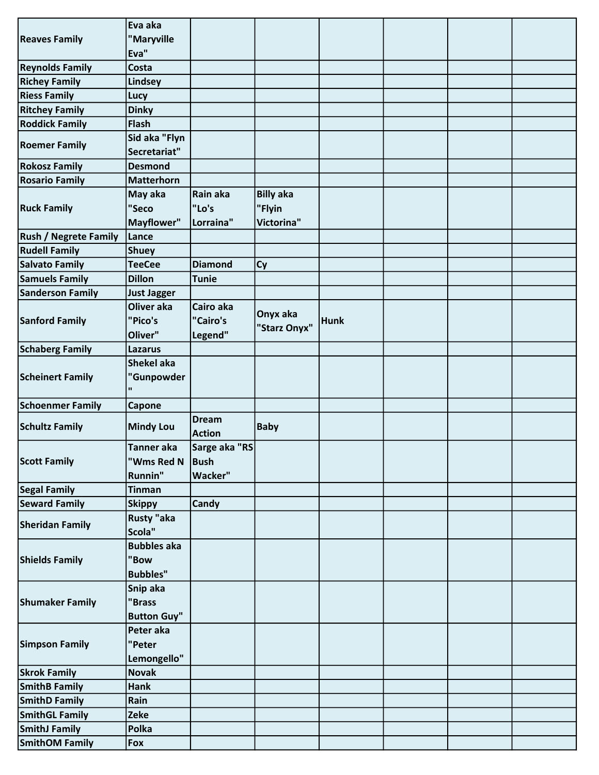|                              | Eva aka            |                |                  |             |  |  |
|------------------------------|--------------------|----------------|------------------|-------------|--|--|
| <b>Reaves Family</b>         | "Maryville         |                |                  |             |  |  |
|                              | Eva"               |                |                  |             |  |  |
| <b>Reynolds Family</b>       | Costa              |                |                  |             |  |  |
| <b>Richey Family</b>         | Lindsey            |                |                  |             |  |  |
| <b>Riess Family</b>          |                    |                |                  |             |  |  |
|                              | Lucy               |                |                  |             |  |  |
| <b>Ritchey Family</b>        | <b>Dinky</b>       |                |                  |             |  |  |
| <b>Roddick Family</b>        | <b>Flash</b>       |                |                  |             |  |  |
| <b>Roemer Family</b>         | Sid aka "Flyn      |                |                  |             |  |  |
|                              | Secretariat"       |                |                  |             |  |  |
| <b>Rokosz Family</b>         | <b>Desmond</b>     |                |                  |             |  |  |
| <b>Rosario Family</b>        | <b>Matterhorn</b>  |                |                  |             |  |  |
|                              | May aka            | Rain aka       | <b>Billy aka</b> |             |  |  |
| <b>Ruck Family</b>           | "Seco              | "Lo's          | "Flyin           |             |  |  |
|                              | Mayflower"         | Lorraina"      | Victorina"       |             |  |  |
| <b>Rush / Negrete Family</b> | Lance              |                |                  |             |  |  |
| <b>Rudell Family</b>         | <b>Shuey</b>       |                |                  |             |  |  |
| Salvato Family               | <b>TeeCee</b>      | <b>Diamond</b> | <b>Cy</b>        |             |  |  |
| Samuels Family               | <b>Dillon</b>      | Tunie          |                  |             |  |  |
| <b>Sanderson Family</b>      | <b>Just Jagger</b> |                |                  |             |  |  |
|                              | Oliver aka         | Cairo aka      |                  |             |  |  |
|                              | "Pico's            | "Cairo's       | Onyx aka         |             |  |  |
| Sanford Family               |                    |                | "Starz Onyx"     | <b>Hunk</b> |  |  |
|                              | Oliver"            | Legend"        |                  |             |  |  |
| <b>Schaberg Family</b>       | <b>Lazarus</b>     |                |                  |             |  |  |
| <b>Scheinert Family</b>      | <b>Shekel aka</b>  |                |                  |             |  |  |
|                              | "Gunpowder         |                |                  |             |  |  |
|                              | H.                 |                |                  |             |  |  |
| <b>Schoenmer Family</b>      | Capone             |                |                  |             |  |  |
|                              |                    | <b>Dream</b>   |                  |             |  |  |
| <b>Schultz Family</b>        | <b>Mindy Lou</b>   | <b>Action</b>  | <b>Baby</b>      |             |  |  |
|                              | <b>Tanner</b> aka  | Sarge aka "RS  |                  |             |  |  |
| <b>Scott Family</b>          | "Wms Red N         | Bush           |                  |             |  |  |
|                              | Runnin"            | Wacker"        |                  |             |  |  |
| <b>Segal Family</b>          | <b>Tinman</b>      |                |                  |             |  |  |
| <b>Seward Family</b>         | <b>Skippy</b>      | <b>Candy</b>   |                  |             |  |  |
|                              | <b>Rusty "aka</b>  |                |                  |             |  |  |
| <b>Sheridan Family</b>       | Scola"             |                |                  |             |  |  |
|                              | <b>Bubbles aka</b> |                |                  |             |  |  |
|                              | "Bow               |                |                  |             |  |  |
| <b>Shields Family</b>        | <b>Bubbles"</b>    |                |                  |             |  |  |
|                              |                    |                |                  |             |  |  |
|                              | Snip aka           |                |                  |             |  |  |
| <b>Shumaker Family</b>       | "Brass             |                |                  |             |  |  |
|                              | <b>Button Guy"</b> |                |                  |             |  |  |
|                              | Peter aka          |                |                  |             |  |  |
| <b>Simpson Family</b>        | "Peter             |                |                  |             |  |  |
|                              | Lemongello"        |                |                  |             |  |  |
| <b>Skrok Family</b>          | <b>Novak</b>       |                |                  |             |  |  |
| <b>SmithB Family</b>         | <b>Hank</b>        |                |                  |             |  |  |
| <b>SmithD Family</b>         | Rain               |                |                  |             |  |  |
| <b>SmithGL Family</b>        | <b>Zeke</b>        |                |                  |             |  |  |
| <b>SmithJ Family</b>         | Polka              |                |                  |             |  |  |
| <b>SmithOM Family</b>        | Fox                |                |                  |             |  |  |
|                              |                    |                |                  |             |  |  |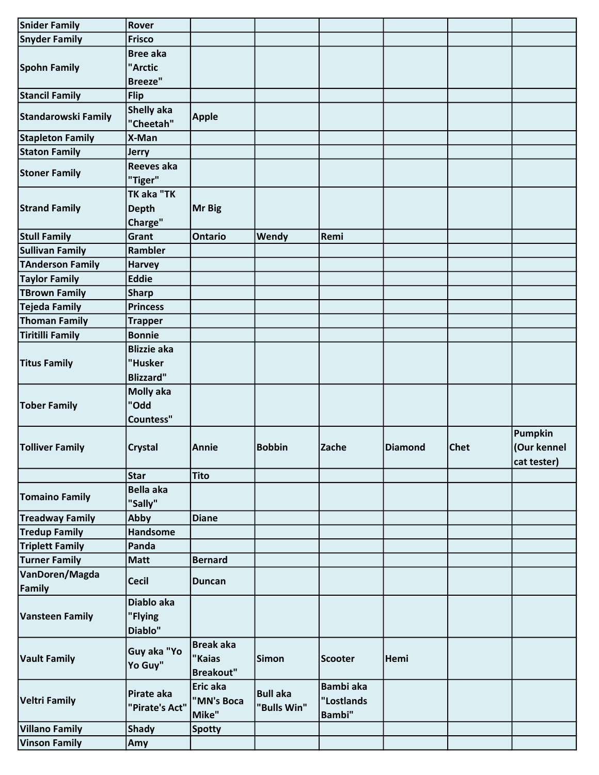| <b>Snider Family</b>       | Rover              |                  |                 |                  |                |             |             |
|----------------------------|--------------------|------------------|-----------------|------------------|----------------|-------------|-------------|
| <b>Snyder Family</b>       | <b>Frisco</b>      |                  |                 |                  |                |             |             |
|                            | <b>Bree aka</b>    |                  |                 |                  |                |             |             |
| <b>Spohn Family</b>        | "Arctic            |                  |                 |                  |                |             |             |
|                            | <b>Breeze"</b>     |                  |                 |                  |                |             |             |
| <b>Stancil Family</b>      | <b>Flip</b>        |                  |                 |                  |                |             |             |
|                            | <b>Shelly aka</b>  |                  |                 |                  |                |             |             |
| <b>Standarowski Family</b> | "Cheetah"          | <b>Apple</b>     |                 |                  |                |             |             |
| <b>Stapleton Family</b>    | X-Man              |                  |                 |                  |                |             |             |
| <b>Staton Family</b>       | <b>Jerry</b>       |                  |                 |                  |                |             |             |
|                            | Reeves aka         |                  |                 |                  |                |             |             |
| <b>Stoner Family</b>       | "Tiger"            |                  |                 |                  |                |             |             |
|                            | TK aka "TK         |                  |                 |                  |                |             |             |
| <b>Strand Family</b>       | <b>Depth</b>       | Mr Big           |                 |                  |                |             |             |
|                            | Charge"            |                  |                 |                  |                |             |             |
| <b>Stull Family</b>        | Grant              | <b>Ontario</b>   | Wendy           | Remi             |                |             |             |
| <b>Sullivan Family</b>     | Rambler            |                  |                 |                  |                |             |             |
| <b>TAnderson Family</b>    | <b>Harvey</b>      |                  |                 |                  |                |             |             |
| <b>Taylor Family</b>       | <b>Eddie</b>       |                  |                 |                  |                |             |             |
| <b>TBrown Family</b>       | <b>Sharp</b>       |                  |                 |                  |                |             |             |
| Tejeda Family              | <b>Princess</b>    |                  |                 |                  |                |             |             |
| <b>Thoman Family</b>       | <b>Trapper</b>     |                  |                 |                  |                |             |             |
| <b>Tiritilli Family</b>    | <b>Bonnie</b>      |                  |                 |                  |                |             |             |
|                            | <b>Blizzie aka</b> |                  |                 |                  |                |             |             |
| <b>Titus Family</b>        | "Husker            |                  |                 |                  |                |             |             |
|                            | <b>Blizzard"</b>   |                  |                 |                  |                |             |             |
|                            | <b>Molly aka</b>   |                  |                 |                  |                |             |             |
| <b>Tober Family</b>        | "Odd               |                  |                 |                  |                |             |             |
|                            | <b>Countess"</b>   |                  |                 |                  |                |             |             |
|                            |                    |                  |                 |                  |                |             | Pumpkin     |
| <b>Tolliver Family</b>     | <b>Crystal</b>     | Annie            | <b>Bobbin</b>   | Zache            | <b>Diamond</b> | <b>Chet</b> | (Our kennel |
|                            |                    |                  |                 |                  |                |             | cat tester) |
|                            | <b>Star</b>        | <b>Tito</b>      |                 |                  |                |             |             |
|                            | <b>Bella aka</b>   |                  |                 |                  |                |             |             |
| <b>Tomaino Family</b>      | "Sally"            |                  |                 |                  |                |             |             |
| <b>Treadway Family</b>     | Abby               | <b>Diane</b>     |                 |                  |                |             |             |
| <b>Tredup Family</b>       | Handsome           |                  |                 |                  |                |             |             |
| <b>Triplett Family</b>     | Panda              |                  |                 |                  |                |             |             |
| <b>Turner Family</b>       | <b>Matt</b>        | <b>Bernard</b>   |                 |                  |                |             |             |
| VanDoren/Magda             |                    |                  |                 |                  |                |             |             |
| Family                     | <b>Cecil</b>       | <b>Duncan</b>    |                 |                  |                |             |             |
|                            | Diablo aka         |                  |                 |                  |                |             |             |
| <b>Vansteen Family</b>     | "Flying            |                  |                 |                  |                |             |             |
|                            | Diablo"            |                  |                 |                  |                |             |             |
|                            |                    | <b>Break aka</b> |                 |                  |                |             |             |
| <b>Vault Family</b>        | Guy aka "Yo        | "Kaias           | <b>Simon</b>    | <b>Scooter</b>   | Hemi           |             |             |
|                            | Yo Guy"            | <b>Breakout"</b> |                 |                  |                |             |             |
|                            |                    | Eric aka         |                 | <b>Bambi</b> aka |                |             |             |
| <b>Veltri Family</b>       | Pirate aka         | "MN's Boca       | <b>Bull aka</b> | "Lostlands       |                |             |             |
|                            | "Pirate's Act"     | Mike"            | "Bulls Win"     | <b>Bambi</b> "   |                |             |             |
| <b>Villano Family</b>      | <b>Shady</b>       | <b>Spotty</b>    |                 |                  |                |             |             |
| <b>Vinson Family</b>       | Amy                |                  |                 |                  |                |             |             |